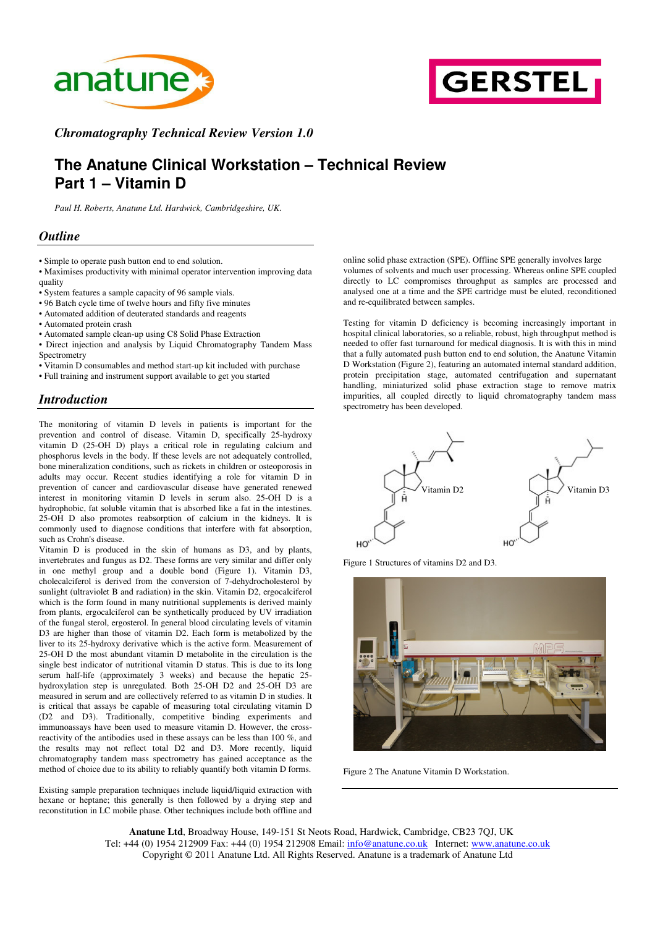



*Chromatography Technical Review Version 1.0*

# **The Anatune Clinical Workstation – Technical Review Part 1 – Vitamin D**

*Paul H. Roberts, Anatune Ltd. Hardwick, Cambridgeshire, UK.*

#### *Outline*

• Simple to operate push button end to end solution.

• Maximises productivity with minimal operator intervention improving data quality

• System features a sample capacity of 96 sample vials.

• 96 Batch cycle time of twelve hours and fifty five minutes

• Automated addition of deuterated standards and reagents

- Automated protein crash
- Automated sample clean-up using C8 Solid Phase Extraction

• Direct injection and analysis by Liquid Chromatography Tandem Mass Spectrometry

• Vitamin D consumables and method start-up kit included with purchase

• Full training and instrument support available to get you started

#### *Introduction*

The monitoring of vitamin D levels in patients is important for the prevention and control of disease. Vitamin D, specifically 25-hydroxy vitamin D (25-OH D) plays a critical role in regulating calcium and phosphorus levels in the body. If these levels are not adequately controlled, bone mineralization conditions, such as rickets in children or osteoporosis in adults may occur. Recent studies identifying a role for vitamin D in prevention of cancer and cardiovascular disease have generated renewed interest in monitoring vitamin D levels in serum also. 25-OH D is a hydrophobic, fat soluble vitamin that is absorbed like a fat in the intestines. 25-OH D also promotes reabsorption of calcium in the kidneys. It is commonly used to diagnose conditions that interfere with fat absorption, such as Crohn's disease.

Vitamin D is produced in the skin of humans as D3, and by plants, invertebrates and fungus as D2. These forms are very similar and differ only in one methyl group and a double bond (Figure 1). Vitamin D3, cholecalciferol is derived from the conversion of 7-dehydrocholesterol by sunlight (ultraviolet B and radiation) in the skin. Vitamin D2, ergocalciferol which is the form found in many nutritional supplements is derived mainly from plants, ergocalciferol can be synthetically produced by UV irradiation of the fungal sterol, ergosterol. In general blood circulating levels of vitamin D3 are higher than those of vitamin D2. Each form is metabolized by the liver to its 25-hydroxy derivative which is the active form. Measurement of 25-OH D the most abundant vitamin D metabolite in the circulation is the single best indicator of nutritional vitamin D status. This is due to its long serum half-life (approximately 3 weeks) and because the hepatic 25 hydroxylation step is unregulated. Both 25-OH D2 and 25-OH D3 are measured in serum and are collectively referred to as vitamin D in studies. It is critical that assays be capable of measuring total circulating vitamin D (D2 and D3). Traditionally, competitive binding experiments and immunoassays have been used to measure vitamin D. However, the crossreactivity of the antibodies used in these assays can be less than 100 %, and the results may not reflect total D2 and D3. More recently, liquid chromatography tandem mass spectrometry has gained acceptance as the method of choice due to its ability to reliably quantify both vitamin D forms.

Existing sample preparation techniques include liquid/liquid extraction with hexane or heptane; this generally is then followed by a drying step and reconstitution in LC mobile phase. Other techniques include both offline and

online solid phase extraction (SPE). Offline SPE generally involves large volumes of solvents and much user processing. Whereas online SPE coupled directly to LC compromises throughput as samples are processed and analysed one at a time and the SPE cartridge must be eluted, reconditioned and re-equilibrated between samples.

Testing for vitamin D deficiency is becoming increasingly important in hospital clinical laboratories, so a reliable, robust, high throughput method is needed to offer fast turnaround for medical diagnosis. It is with this in mind that a fully automated push button end to end solution, the Anatune Vitamin D Workstation (Figure 2), featuring an automated internal standard addition, protein precipitation stage, automated centrifugation and supernatant handling, miniaturized solid phase extraction stage to remove matrix impurities, all coupled directly to liquid chromatography tandem mass spectrometry has been developed.



Figure 1 Structures of vitamins D2 and D3.



Figure 2 The Anatune Vitamin D Workstation.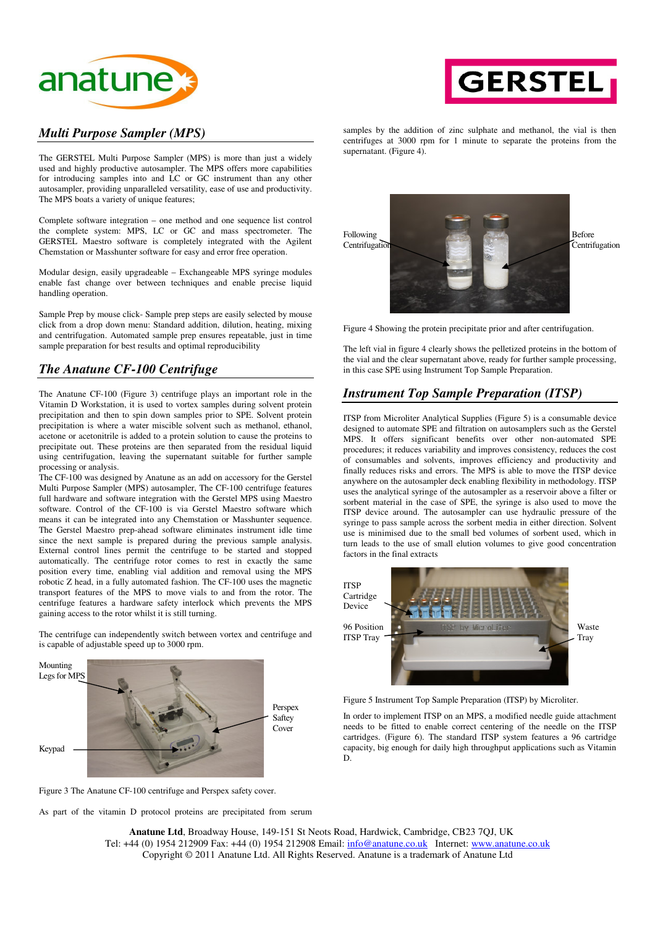



### *Multi Purpose Sampler (MPS)*

The GERSTEL Multi Purpose Sampler (MPS) is more than just a widely used and highly productive autosampler. The MPS offers more capabilities for introducing samples into and LC or GC instrument than any other autosampler, providing unparalleled versatility, ease of use and productivity. The MPS boats a variety of unique features;

Complete software integration – one method and one sequence list control the complete system: MPS, LC or GC and mass spectrometer. The GERSTEL Maestro software is completely integrated with the Agilent Chemstation or Masshunter software for easy and error free operation.

Modular design, easily upgradeable – Exchangeable MPS syringe modules enable fast change over between techniques and enable precise liquid handling operation.

Sample Prep by mouse click- Sample prep steps are easily selected by mouse click from a drop down menu: Standard addition, dilution, heating, mixing and centrifugation. Automated sample prep ensures repeatable, just in time sample preparation for best results and optimal reproducibility

# *The Anatune CF-100 Centrifuge*

The Anatune CF-100 (Figure 3) centrifuge plays an important role in the Vitamin D Workstation, it is used to vortex samples during solvent protein precipitation and then to spin down samples prior to SPE. Solvent protein precipitation is where a water miscible solvent such as methanol, ethanol, acetone or acetonitrile is added to a protein solution to cause the proteins to precipitate out. These proteins are then separated from the residual liquid using centrifugation, leaving the supernatant suitable for further sample processing or analysis.

The CF-100 was designed by Anatune as an add on accessory for the Gerstel Multi Purpose Sampler (MPS) autosampler, The CF-100 centrifuge features full hardware and software integration with the Gerstel MPS using Maestro software. Control of the CF-100 is via Gerstel Maestro software which means it can be integrated into any Chemstation or Masshunter sequence. The Gerstel Maestro prep-ahead software eliminates instrument idle time since the next sample is prepared during the previous sample analysis. External control lines permit the centrifuge to be started and stopped automatically. The centrifuge rotor comes to rest in exactly the same position every time, enabling vial addition and removal using the MPS robotic Z head, in a fully automated fashion. The CF-100 uses the magnetic transport features of the MPS to move vials to and from the rotor. The centrifuge features a hardware safety interlock which prevents the MPS gaining access to the rotor whilst it is still turning.

The centrifuge can independently switch between vortex and centrifuge and is capable of adjustable speed up to 3000 rpm.

Mounting Legs for MPS Perspex **Saftey** Cover Keypad

samples by the addition of zinc sulphate and methanol, the vial is then centrifuges at 3000 rpm for 1 minute to separate the proteins from the supernatant. (Figure 4).



Figure 4 Showing the protein precipitate prior and after centrifugation.

The left vial in figure 4 clearly shows the pelletized proteins in the bottom of the vial and the clear supernatant above, ready for further sample processing, in this case SPE using Instrument Top Sample Preparation.

# *Instrument Top Sample Preparation (ITSP)*

ITSP from Microliter Analytical Supplies (Figure 5) is a consumable device designed to automate SPE and filtration on autosamplers such as the Gerstel MPS. It offers significant benefits over other non-automated SPE procedures; it reduces variability and improves consistency, reduces the cost of consumables and solvents, improves efficiency and productivity and finally reduces risks and errors. The MPS is able to move the ITSP device anywhere on the autosampler deck enabling flexibility in methodology. ITSP uses the analytical syringe of the autosampler as a reservoir above a filter or sorbent material in the case of SPE, the syringe is also used to move the ITSP device around. The autosampler can use hydraulic pressure of the syringe to pass sample across the sorbent media in either direction. Solvent use is minimised due to the small bed volumes of sorbent used, which in turn leads to the use of small elution volumes to give good concentration factors in the final extracts



Figure 5 Instrument Top Sample Preparation (ITSP) by Microliter.

In order to implement ITSP on an MPS, a modified needle guide attachment needs to be fitted to enable correct centering of the needle on the ITSP cartridges. (Figure 6). The standard ITSP system features a 96 cartridge capacity, big enough for daily high throughput applications such as Vitamin D.

Figure 3 The Anatune CF-100 centrifuge and Perspex safety cover.

As part of the vitamin D protocol proteins are precipitated from serum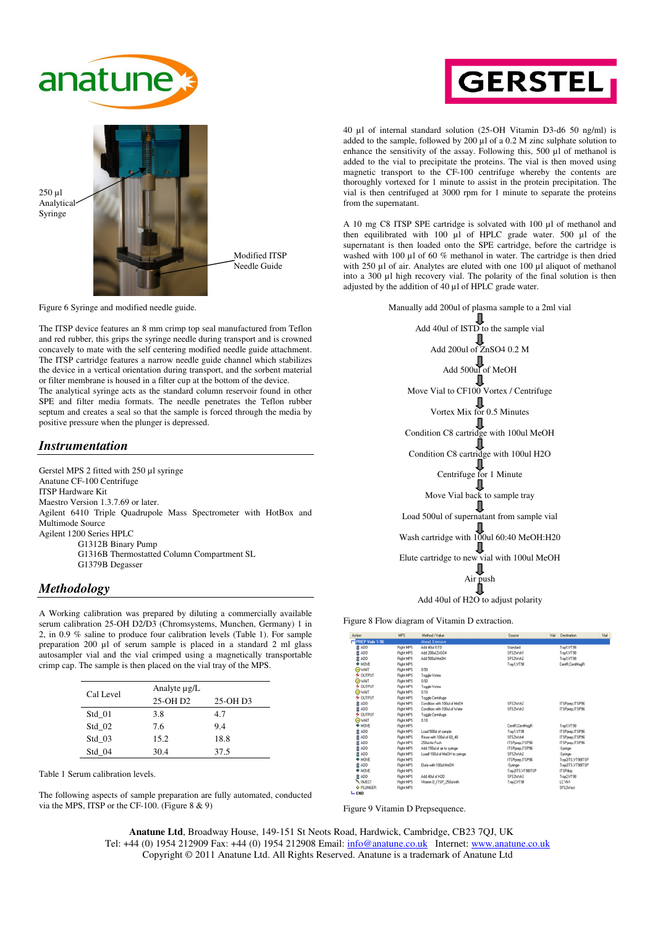



Figure 6 Syringe and modified needle guide.

The ITSP device features an 8 mm crimp top seal manufactured from Teflon and red rubber, this grips the syringe needle during transport and is crowned concavely to mate with the self centering modified needle guide attachment. The ITSP cartridge features a narrow needle guide channel which stabilizes the device in a vertical orientation during transport, and the sorbent material or filter membrane is housed in a filter cup at the bottom of the device. The analytical syringe acts as the standard column reservoir found in other SPE and filter media formats. The needle penetrates the Teflon rubber septum and creates a seal so that the sample is forced through the media by positive pressure when the plunger is depressed.

### *Instrumentation*

Gerstel MPS 2 fitted with 250 µl syringe Anatune CF-100 Centrifuge ITSP Hardware Kit Maestro Version 1.3.7.69 or later. Agilent 6410 Triple Quadrupole Mass Spectrometer with HotBox and Multimode Source Agilent 1200 Series HPLC G1312B Binary Pump G1316B Thermostatted Column Compartment SL G1379B Degasser

#### *Methodology*

A Working calibration was prepared by diluting a commercially available serum calibration 25-OH D2/D3 (Chromsystems, Munchen, Germany) 1 in 2, in 0.9 % saline to produce four calibration levels (Table 1). For sample preparation 200 µl of serum sample is placed in a standard 2 ml glass autosampler vial and the vial crimped using a magnetically transportable crimp cap. The sample is then placed on the vial tray of the MPS.

| Cal Level | Analyte $\mu$ g/L |          |  |  |  |
|-----------|-------------------|----------|--|--|--|
|           | 25-OH D2          | 25-OH D3 |  |  |  |
| Std 01    | 3.8               | 4.7      |  |  |  |
| Std 02    | 7.6               | 94       |  |  |  |
| Std 03    | 15.2              | 18.8     |  |  |  |
| Std 04    | 30.4              | 37.5     |  |  |  |

Table 1 Serum calibration levels.

The following aspects of sample preparation are fully automated, conducted via the MPS, ITSP or the CF-100. (Figure 8 & 9)



40 µl of internal standard solution (25-OH Vitamin D3-d6 50 ng/ml) is added to the sample, followed by 200 µl of a 0.2 M zinc sulphate solution to enhance the sensitivity of the assay. Following this, 500 µl of methanol is added to the vial to precipitate the proteins. The vial is then moved using magnetic transport to the CF-100 centrifuge whereby the contents are thoroughly vortexed for 1 minute to assist in the protein precipitation. The vial is then centrifuged at 3000 rpm for 1 minute to separate the proteins from the supernatant.

A 10 mg C8 ITSP SPE cartridge is solvated with 100 µl of methanol and then equilibrated with 100 µl of HPLC grade water. 500 µl of the supernatant is then loaded onto the SPE cartridge, before the cartridge is washed with 100 µl of 60 % methanol in water. The cartridge is then dried with 250 µl of air. Analytes are eluted with one 100 µl aliquot of methanol into a 300 µl high recovery vial. The polarity of the final solution is then adjusted by the addition of 40 µl of HPLC grade water.



Figure 8 Flow diagram of Vitamin D extraction.

| Action             | <b>MPS</b>       | Method / Value                | Source<br>Vial    | Destination       | Vial |
|--------------------|------------------|-------------------------------|-------------------|-------------------|------|
| PREP Vials 1-96    |                  | Ahead, Extensive              |                   |                   |      |
| <b>B</b> ADD       | <b>Right MPS</b> | Add 40ul ISTD                 | Standard          | Tray1,VT98        |      |
| ġ<br>ADD           | <b>Right MPS</b> | Add 200ul ZnSO4               | SFS2Wsh1          | Trav1.VT98        |      |
| Ż<br>ADD           | <b>Right MPS</b> | Add 500ul MeOH                | SFS2Wsh2          | Tray1,VT98        |      |
| <b>MOVE</b>        | <b>Right MPS</b> |                               | Trav1.VT98        | CentR.CentMagR    |      |
| <b>OWAIT</b>       | <b>Right MPS</b> | 0.50                          |                   |                   |      |
| $6$ OUTPUT         | <b>Right MPS</b> | Toggle Vortex                 |                   |                   |      |
| <b>OWAIT</b>       | <b>Right MPS</b> | 0.50                          |                   |                   |      |
| <b>4 OUTPUT</b>    | Right MPS        | Toggle Vortex                 |                   |                   |      |
| OWAIT              | <b>Right MPS</b> | 0.10                          |                   |                   |      |
| $6$ OUTPUT         | <b>Right MPS</b> | Toggle Centrifuge             |                   |                   |      |
| ġ<br>ADD           | <b>Right MPS</b> | Condition with 100ul of MeOH  | SFS2Wsh2          | ITSPprep, ITSP96  |      |
| å<br>ADD           | <b>Right MPS</b> | Condition with 100ul of Water | SFS2Wsh3          | ITSPprep.ITSP96   |      |
| $6$ OUTPUT         | <b>Right MPS</b> | Toggle Centrifuge             |                   |                   |      |
| <b>OWAIT</b>       | <b>Right MPS</b> | 0.10                          |                   |                   |      |
| <b>→ MOVE</b>      | <b>Right MPS</b> |                               | CentR.CentMagR    | Trav1.VT98        |      |
| ġ<br>ADD           | <b>Right MPS</b> | Load 500ul of sample          | Trav1.VT98        | ITSPprepJTSP96    |      |
| Ż<br>ADD           | Right MPS        | Rinse with 100ul of 60 40     | SFS2Wsh4          | ITSPprep, ITSP96  |      |
| ġ<br>ADD           | <b>Right MPS</b> | 250 J Air Push                | ITSPprepJTSP96    | ITSPprepJTSP96    |      |
| 8<br>ADD           | <b>Right MPS</b> | Add 150ul of air to swinge    | ITSPprep.ITSP96   | -Syringe-         |      |
| ġ<br>ADD           | <b>Right MPS</b> | Loadf 100ul of MeOH to swinge | SFS2Wsh2          | -Syringe-         |      |
| ۰<br>MOVE          | <b>Right MPS</b> |                               | ITSPprepJTSP96    | Trav2lTS.VT98ITSP |      |
| ន់<br>ADD          | <b>Right MPS</b> | Elute with 100ul MeOH         | -Svringe-         | Trav2lTS.VT98ITSP |      |
| <b>A MOVE</b>      | <b>Right MPS</b> |                               | Trav2lTS.VT98ITSP | <b>ITSPdsp</b>    |      |
| ឌ<br>ADD           | <b>Right MPS</b> | Add 40ul of H2D               | SFS2Wsh3          | Tray2,VT98        |      |
| <b>NJECT</b>       | <b>Right MPS</b> | Vitamin D ITSP 250ul.mth      | Trav2.VT98        | LC Viv1           |      |
| <b>O</b> PLUNGER   | <b>Right MPS</b> |                               |                   | SFS2Wast          |      |
| $L$ <sub>END</sub> |                  |                               |                   |                   |      |

Figure 9 Vitamin D Prepsequence.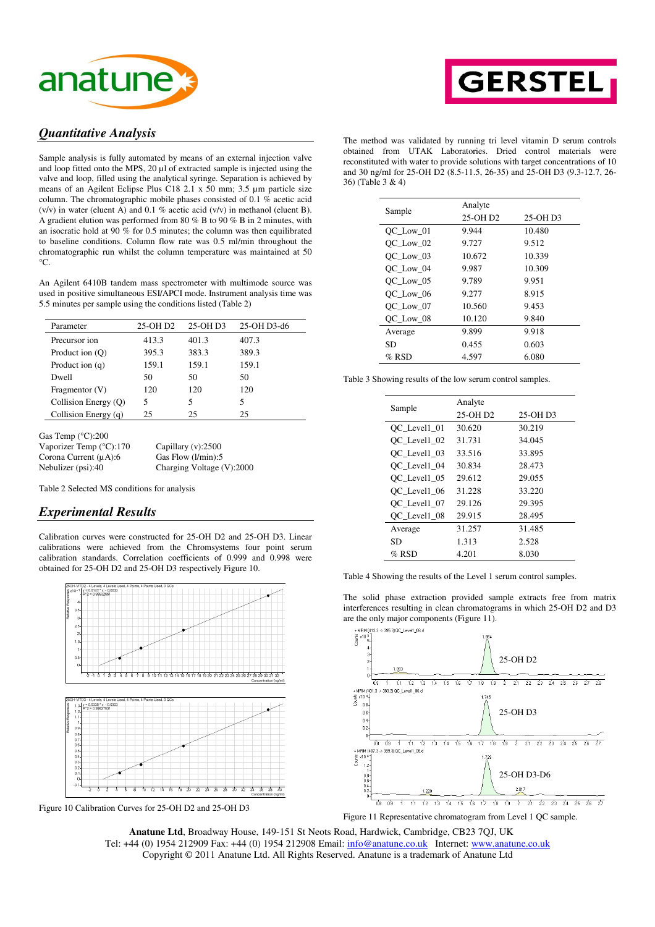



### *Quantitative Analysis*

Sample analysis is fully automated by means of an external injection valve and loop fitted onto the MPS, 20 µl of extracted sample is injected using the valve and loop, filled using the analytical syringe. Separation is achieved by means of an Agilent Eclipse Plus C18 2.1 x 50 mm; 3.5 µm particle size column. The chromatographic mobile phases consisted of 0.1 % acetic acid (v/v) in water (eluent A) and 0.1 % acetic acid (v/v) in methanol (eluent B). A gradient elution was performed from 80 % B to 90 % B in 2 minutes, with an isocratic hold at 90 % for 0.5 minutes; the column was then equilibrated to baseline conditions. Column flow rate was 0.5 ml/min throughout the chromatographic run whilst the column temperature was maintained at 50  $^{\circ}C$ .

An Agilent 6410B tandem mass spectrometer with multimode source was used in positive simultaneous ESI/APCI mode. Instrument analysis time was 5.5 minutes per sample using the conditions listed (Table 2)

| Parameter            | 25-OH D2 | 25-OH D3 | 25-OH D3-d6 |
|----------------------|----------|----------|-------------|
| Precursor ion        | 413.3    | 401.3    | 407.3       |
| Product ion (O)      | 395.3    | 383.3    | 389.3       |
| Product ion $(q)$    | 159.1    | 159.1    | 159.1       |
| Dwell                | 50       | 50       | 50          |
| Fragmentor $(V)$     | 120      | 120      | 120         |
| Collision Energy (O) | 5        | 5        | 5           |
| Collision Energy (q) | 25       | 25       | 25          |

Gas Temp (°C):200 Vaporizer Temp (°C):170 Capillary (v):2500<br>Corona Current (µA):6 Gas Flow (l/min):5 Corona Current  $(\mu A)$ :6 Nebulizer (psi):40 Charging Voltage (V):2000

Table 2 Selected MS conditions for analysis

### *Experimental Results*

Calibration curves were constructed for 25-OH D2 and 25-OH D3. Linear calibrations were achieved from the Chromsystems four point serum calibration standards. Correlation coefficients of 0.999 and 0.998 were obtained for 25-OH D2 and 25-OH D3 respectively Figure 10.



Figure 10 Calibration Curves for 25-OH D2 and 25-OH D3

The method was validated by running tri level vitamin D serum controls obtained from UTAK Laboratories. Dried control materials were reconstituted with water to provide solutions with target concentrations of 10 and 30 ng/ml for 25-OH D2 (8.5-11.5, 26-35) and 25-OH D3 (9.3-12.7, 26- 36) (Table 3 & 4)

|           | Analyte              |          |  |  |  |
|-----------|----------------------|----------|--|--|--|
| Sample    | 25-OH D <sub>2</sub> | 25-OH D3 |  |  |  |
| OC Low 01 | 9.944                | 10.480   |  |  |  |
| OC Low 02 | 9.727                | 9.512    |  |  |  |
| OC Low 03 | 10.672               | 10.339   |  |  |  |
| OC Low 04 | 9.987                | 10.309   |  |  |  |
| OC Low 05 | 9.789                | 9.951    |  |  |  |
| OC Low 06 | 9.277                | 8.915    |  |  |  |
| OC Low 07 | 10.560               | 9.453    |  |  |  |
| OC Low 08 | 10.120               | 9.840    |  |  |  |
| Average   | 9.899                | 9.918    |  |  |  |
| SD        | 0.455                | 0.603    |  |  |  |
| $%$ RSD   | 4.597                | 6.080    |  |  |  |

|  | Table 3 Showing results of the low serum control samples. |  |  |  |  |
|--|-----------------------------------------------------------|--|--|--|--|
|  |                                                           |  |  |  |  |

|              | Analyte              |          |  |  |  |  |
|--------------|----------------------|----------|--|--|--|--|
| Sample       | 25-OH D <sub>2</sub> | 25-OH D3 |  |  |  |  |
| OC Level1 01 | 30.620               | 30.219   |  |  |  |  |
| OC Level1 02 | 31.731               | 34.045   |  |  |  |  |
| OC Level1 03 | 33.516               | 33.895   |  |  |  |  |
| OC Level1 04 | 30.834               | 28.473   |  |  |  |  |
| OC Level1 05 | 29.612               | 29.055   |  |  |  |  |
| OC Level1 06 | 31.228               | 33.220   |  |  |  |  |
| OC Level1 07 | 29.126               | 29.395   |  |  |  |  |
| OC Level1 08 | 29.915               | 28.495   |  |  |  |  |
| Average      | 31.257               | 31.485   |  |  |  |  |
| SD           | 1.313                | 2.528    |  |  |  |  |
| % RSD        | 4.201                | 8.030    |  |  |  |  |

Table 4 Showing the results of the Level 1 serum control samples.

The solid phase extraction provided sample extracts free from matrix interferences resulting in clean chromatograms in which 25-OH D2 and D3 are the only major components (Figure 11).

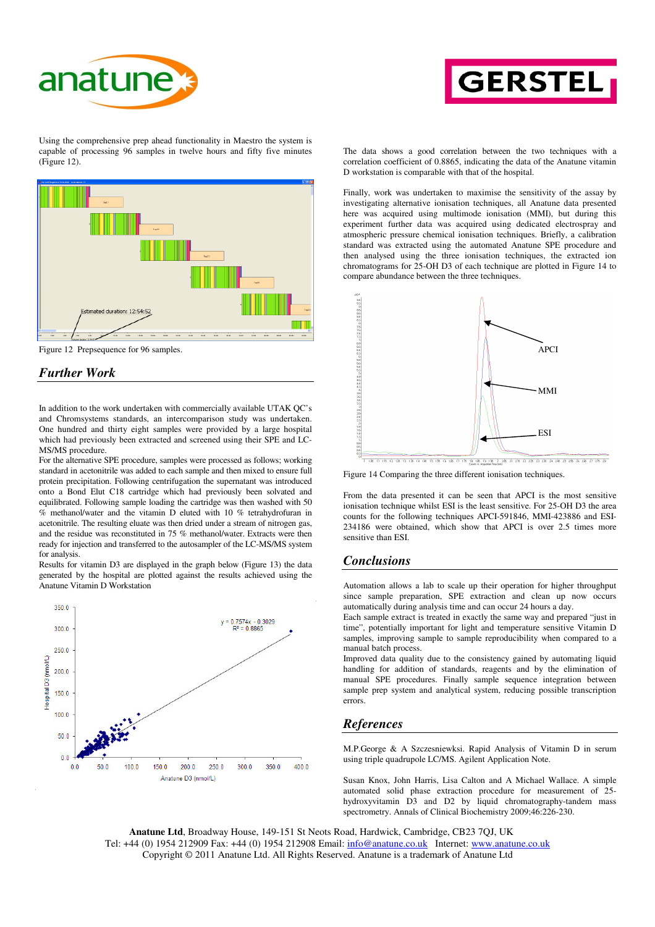



Using the comprehensive prep ahead functionality in Maestro the system is capable of processing 96 samples in twelve hours and fifty five minutes (Figure 12).



Figure 12 Prepsequence for 96 samples.

# *Further Work*

In addition to the work undertaken with commercially available UTAK QC's and Chromsystems standards, an intercomparison study was undertaken. One hundred and thirty eight samples were provided by a large hospital which had previously been extracted and screened using their SPE and LC-MS/MS procedure.

For the alternative SPE procedure, samples were processed as follows; working standard in acetonitrile was added to each sample and then mixed to ensure full protein precipitation. Following centrifugation the supernatant was introduced onto a Bond Elut C18 cartridge which had previously been solvated and equilibrated. Following sample loading the cartridge was then washed with 50 % methanol/water and the vitamin D eluted with 10 % tetrahydrofuran in acetonitrile. The resulting eluate was then dried under a stream of nitrogen gas, and the residue was reconstituted in 75 % methanol/water. Extracts were then ready for injection and transferred to the autosampler of the LC-MS/MS system for analysis.

Results for vitamin D3 are displayed in the graph below (Figure 13) the data generated by the hospital are plotted against the results achieved using the Anatune Vitamin D Workstation



The data shows a good correlation between the two techniques with a correlation coefficient of 0.8865, indicating the data of the Anatune vitamin D workstation is comparable with that of the hospital.

Finally, work was undertaken to maximise the sensitivity of the assay by investigating alternative ionisation techniques, all Anatune data presented here was acquired using multimode ionisation (MMI), but during this experiment further data was acquired using dedicated electrospray and atmospheric pressure chemical ionisation techniques. Briefly, a calibration standard was extracted using the automated Anatune SPE procedure and then analysed using the three ionisation techniques, the extracted ion chromatograms for 25-OH D3 of each technique are plotted in Figure 14 to compare abundance between the three techniques.



Figure 14 Comparing the three different ionisation techniques.

From the data presented it can be seen that APCI is the most sensitive ionisation technique whilst ESI is the least sensitive. For 25-OH D3 the area counts for the following techniques APCI-591846, MMI-423886 and ESI-234186 were obtained, which show that APCI is over 2.5 times more sensitive than ESI.

#### *Conclusions*

Automation allows a lab to scale up their operation for higher throughput since sample preparation, SPE extraction and clean up now occurs automatically during analysis time and can occur 24 hours a day.

Each sample extract is treated in exactly the same way and prepared "just in time", potentially important for light and temperature sensitive Vitamin D samples, improving sample to sample reproducibility when compared to a manual batch process.

Improved data quality due to the consistency gained by automating liquid handling for addition of standards, reagents and by the elimination of manual SPE procedures. Finally sample sequence integration between sample prep system and analytical system, reducing possible transcription errors.

#### *References*

M.P.George & A Szczesniewksi. Rapid Analysis of Vitamin D in serum using triple quadrupole LC/MS. Agilent Application Note.

Susan Knox, John Harris, Lisa Calton and A Michael Wallace. A simple automated solid phase extraction procedure for measurement of 25 hydroxyvitamin D3 and D2 by liquid chromatography-tandem mass spectrometry. Annals of Clinical Biochemistry 2009;46:226-230.